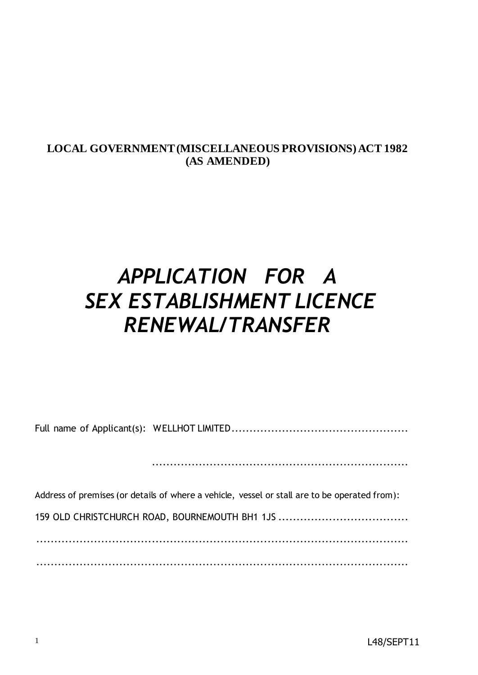## **LOCAL GOVERNMENT (MISCELLANEOUS PROVISIONS) ACT 1982 (AS AMENDED)**

# *APPLICATION FOR A SEX ESTABLISHMENT LICENCE RENEWAL/TRANSFER*

Full name of Applicant(s): WELLHOT LIMITED.................................................

.......................................................................

Address of premises (or details of where a vehicle, vessel or stall are to be operated from):

159 OLD CHRISTCHURCH ROAD, BOURNEMOUTH BH1 1JS ....................................

.......................................................................................................

.......................................................................................................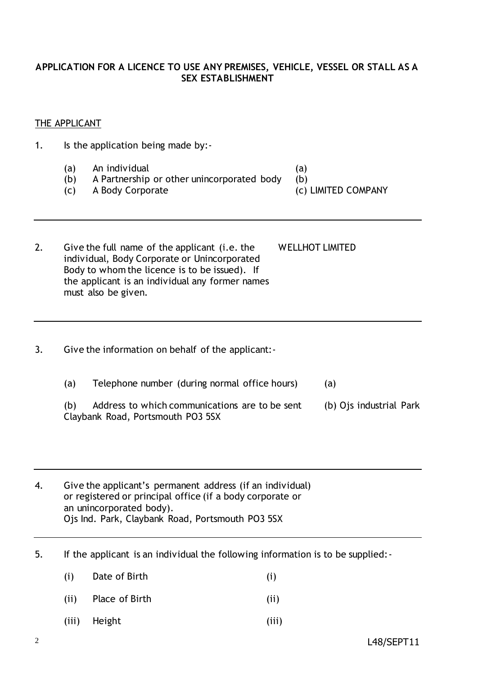#### **APPLICATION FOR A LICENCE TO USE ANY PREMISES, VEHICLE, VESSEL OR STALL AS A SEX ESTABLISHMENT**

#### THE APPLICANT

- 1. Is the application being made by:-
	- (a) An individual (a)
	- (b) A Partnership or other unincorporated body (b)
	- (c) A Body Corporate (c) LIMITED COMPANY
- -

2. Give the full name of the applicant (i.e. the WELLHOT LIMITED individual, Body Corporate or Unincorporated Body to whom the licence is to be issued). If the applicant is an individual any former names must also be given.

- 3. Give the information on behalf of the applicant:-
	- (a) Telephone number (during normal office hours) (a)
	- (b) Address to which communications are to be sent (b) Ojs industrial Park Claybank Road, Portsmouth PO3 5SX

4. Give the applicant's permanent address (if an individual) or registered or principal office (if a body corporate or an unincorporated body). Ojs Ind. Park, Claybank Road, Portsmouth PO3 5SX

- 5. If the applicant is an individual the following information is to be supplied:-
	- (i) Date of Birth (i)
	- (ii) Place of Birth (ii)
	- (iii) Height (iii)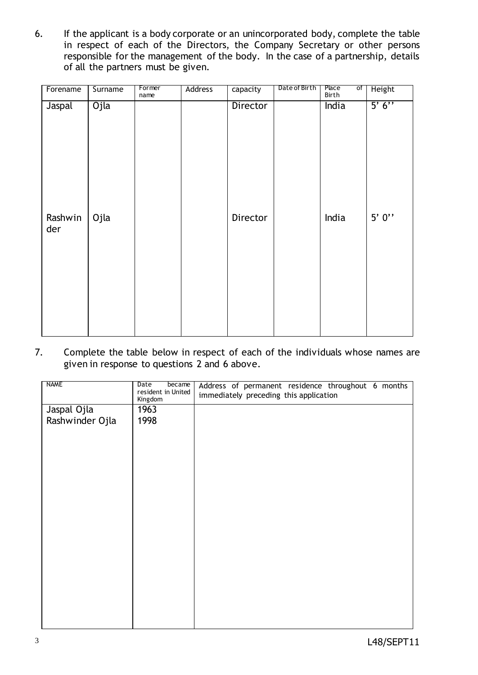6. If the applicant is a body corporate or an unincorporated body, complete the table in respect of each of the Directors, the Company Secretary or other persons responsible for the management of the body. In the case of a partnership, details of all the partners must be given.

| Forename       | Surname | Former<br>name | Address | capacity | Date of Birth | Place<br>of<br>Birth | Height   |
|----------------|---------|----------------|---------|----------|---------------|----------------------|----------|
| Jaspal         | Ojla    |                |         | Director |               | India                | 5' 6''   |
| Rashwin<br>der | Ojla    |                |         | Director |               | India                | $5'$ 0'' |

7. Complete the table below in respect of each of the individuals whose names are given in response to questions 2 and 6 above.

| NAME            | Date<br>became<br>resident in United<br>Kingdom | Address of permanent residence throughout 6 months<br>immediately preceding this application |
|-----------------|-------------------------------------------------|----------------------------------------------------------------------------------------------|
| Jaspal Ojla     | 1963                                            |                                                                                              |
| Rashwinder Ojla | 1998                                            |                                                                                              |
|                 |                                                 |                                                                                              |
|                 |                                                 |                                                                                              |
|                 |                                                 |                                                                                              |
|                 |                                                 |                                                                                              |
|                 |                                                 |                                                                                              |
|                 |                                                 |                                                                                              |
|                 |                                                 |                                                                                              |
|                 |                                                 |                                                                                              |
|                 |                                                 |                                                                                              |
|                 |                                                 |                                                                                              |
|                 |                                                 |                                                                                              |
|                 |                                                 |                                                                                              |
|                 |                                                 |                                                                                              |
|                 |                                                 |                                                                                              |
|                 |                                                 |                                                                                              |
|                 |                                                 |                                                                                              |
|                 |                                                 |                                                                                              |
|                 |                                                 |                                                                                              |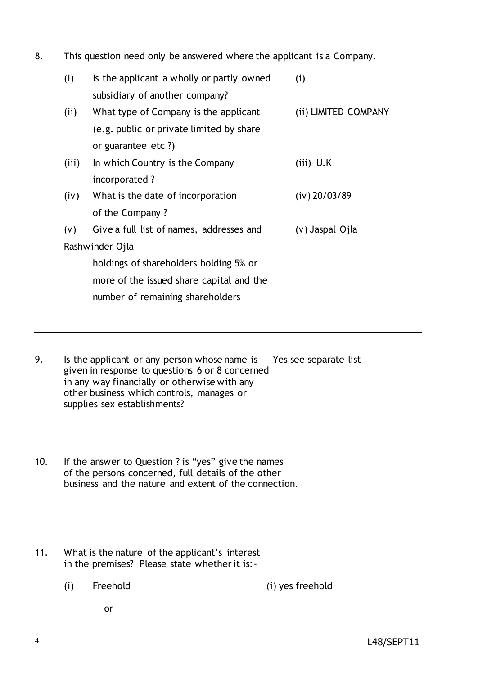8. This question need only be answered where the applicant is a Company.

| (i)   | Is the applicant a wholly or partly owned | (i)                  |
|-------|-------------------------------------------|----------------------|
|       | subsidiary of another company?            |                      |
| (ii)  | What type of Company is the applicant     | (ii) LIMITED COMPANY |
|       | (e.g. public or private limited by share  |                      |
|       | or guarantee etc ?)                       |                      |
| (iii) | In which Country is the Company           | $(iii)$ U.K          |
|       | incorporated ?                            |                      |
| (iv)  | What is the date of incorporation         | $(iv)$ 20/03/89      |
|       | of the Company?                           |                      |
| (v)   | Give a full list of names, addresses and  | (v) Jaspal Ojla      |
|       | Rashwinder Ojla                           |                      |
|       | holdings of shareholders holding 5% or    |                      |
|       | more of the issued share capital and the  |                      |
|       | number of remaining shareholders          |                      |

- 9. Is the applicant or any person whose name is Yes see separate list given in response to questions 6 or 8 concerned in any way financially or otherwise with any other business which controls, manages or supplies sex establishments?
- 10. If the answer to Question ? is "yes" give the names of the persons concerned, full details of the other business and the nature and extent of the connection.
- 11. What is the nature of the applicant's interest in the premises? Please state whether it is:-
	- (i) Freehold (i) yes freehold

or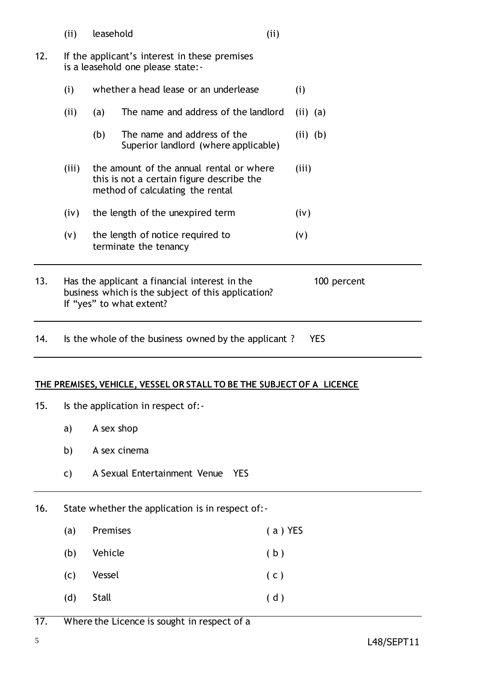(ii) leasehold (ii)

- 12. If the applicant's interest in these premises is a leasehold one please state:-
	- (i) whether a head lease or an underlease (i) (ii) (a) The name and address of the landlord (ii) (a)
		- (b) The name and address of the  $(ii)$  (b) Superior landlord (where applicable)
	- (iii) the amount of the annual rental or where (iii) this is not a certain figure describe the method of calculating the rental
	- $(iv)$  the length of the unexpired term  $(iv)$
	- (v) the length of notice required to (v) terminate the tenancy
- 13. Has the applicant a financial interest in the 100 percent business which is the subject of this application? If "yes" to what extent?
- 14. Is the whole of the business owned by the applicant ? YES

#### **THE PREMISES, VEHICLE, VESSEL OR STALL TO BE THE SUBJECT OF A LICENCE**

- 15. Is the application in respect of:
	- a) A sex shop
	- b) A sex cinema
	- c) A Sexual Entertainment Venue YES
- 16. State whether the application is in respect of:-
	- (a) Premises ( a ) YES
	- (b) Vehicle (b)
	- (c) Vessel ( c )
	- (d) Stall ( d )
- 17. Where the Licence is sought in respect of a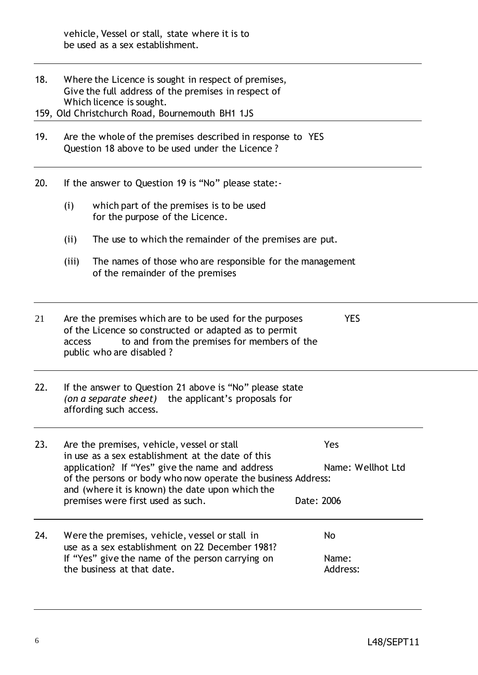18. Where the Licence is sought in respect of premises, Give the full address of the premises in respect of Which licence is sought.

159, Old Christchurch Road, Bournemouth BH1 1JS

- 19. Are the whole of the premises described in response to YES Question 18 above to be used under the Licence ?
- 20. If the answer to Question 19 is "No" please state:-
	- (i) which part of the premises is to be used for the purpose of the Licence.
	- (ii) The use to which the remainder of the premises are put.
	- (iii) The names of those who are responsible for the management of the remainder of the premises

| 21 | Are the premises which are to be used for the purposes | <b>YES</b>                                                               |  |
|----|--------------------------------------------------------|--------------------------------------------------------------------------|--|
|    |                                                        | of the Licence so constructed or adapted as to permit                    |  |
|    | access                                                 | to and from the premises for members of the<br>public who are disabled ? |  |
|    |                                                        |                                                                          |  |

22. If the answer to Question 21 above is "No" please state *(on a separate sheet)* the applicant's proposals for affording such access.

| 23. | Are the premises, vehicle, vessel or stall<br>in use as a sex establishment at the date of this                                                                    | Yes               |
|-----|--------------------------------------------------------------------------------------------------------------------------------------------------------------------|-------------------|
|     | application? If "Yes" give the name and address<br>of the persons or body who now operate the business Address:<br>and (where it is known) the date upon which the | Name: Wellhot Ltd |
|     | premises were first used as such.                                                                                                                                  | Date: 2006        |
| 24. | Were the premises, vehicle, vessel or stall in                                                                                                                     | No                |

use as a sex establishment on 22 December 1981? If "Yes" give the name of the person carrying on Name: the business at that date. Address: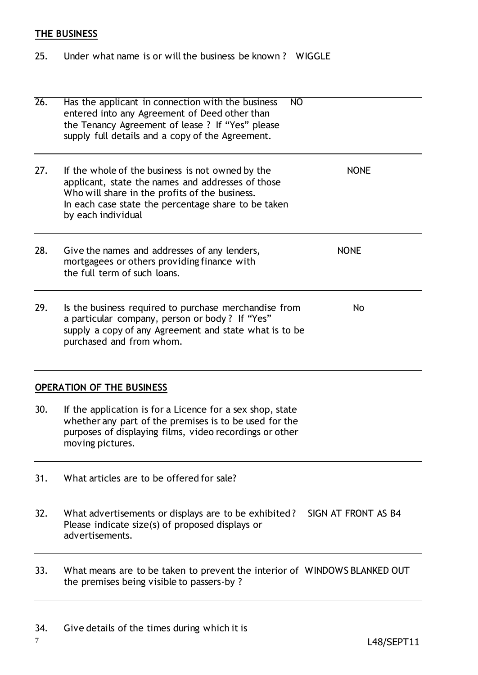# **THE BUSINESS**

25. Under what name is or will the business be known ? WIGGLE

| $\overline{26}$ . | Has the applicant in connection with the business<br>NO<br>entered into any Agreement of Deed other than<br>the Tenancy Agreement of lease ? If "Yes" please<br>supply full details and a copy of the Agreement.                     |                     |
|-------------------|--------------------------------------------------------------------------------------------------------------------------------------------------------------------------------------------------------------------------------------|---------------------|
| 27.               | If the whole of the business is not owned by the<br>applicant, state the names and addresses of those<br>Who will share in the profits of the business.<br>In each case state the percentage share to be taken<br>by each individual | <b>NONE</b>         |
| 28.               | Give the names and addresses of any lenders,<br>mortgagees or others providing finance with<br>the full term of such loans.                                                                                                          | <b>NONE</b>         |
| 29.               | Is the business required to purchase merchandise from<br>a particular company, person or body? If "Yes"<br>supply a copy of any Agreement and state what is to be<br>purchased and from whom.                                        | <b>No</b>           |
|                   | <b>OPERATION OF THE BUSINESS</b>                                                                                                                                                                                                     |                     |
| 30.               | If the application is for a Licence for a sex shop, state<br>whether any part of the premises is to be used for the<br>purposes of displaying films, video recordings or other<br>moving pictures.                                   |                     |
| 31.               | What articles are to be offered for sale?                                                                                                                                                                                            |                     |
| 32.               | What advertisements or displays are to be exhibited?<br>Please indicate size(s) of proposed displays or<br>advertisements.                                                                                                           | SIGN AT FRONT AS B4 |
| 33.               | What means are to be taken to prevent the interior of WINDOWS BLANKED OUT<br>the premises being visible to passers-by?                                                                                                               |                     |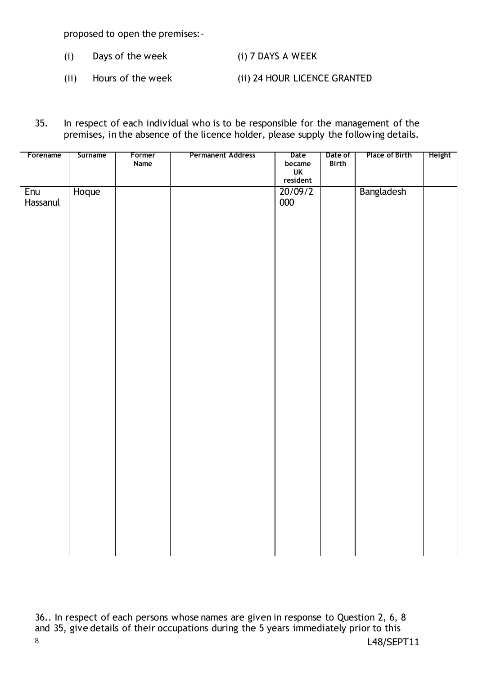proposed to open the premises:-

- (i) Days of the week (i) 7 DAYS A WEEK
- (ii) Hours of the week (ii) 24 HOUR LICENCE GRANTED
- 35. In respect of each individual who is to be responsible for the management of the premises, in the absence of the licence holder, please supply the following details.

| Forename        | Surname | Former<br>Name | <b>Permanent Address</b> | Date<br>became<br>UK<br>UK<br>resident | Date of<br>Birth | Place of Birth | <b>Height</b> |
|-----------------|---------|----------------|--------------------------|----------------------------------------|------------------|----------------|---------------|
| Enu<br>Hassanul | Hoque   |                |                          | 20/09/2<br>000                         |                  | Bangladesh     |               |
|                 |         |                |                          |                                        |                  |                |               |
|                 |         |                |                          |                                        |                  |                |               |

8 L48/SEPT11 36.. In respect of each persons whose names are given in response to Question 2, 6, 8 and 35, give details of their occupations during the 5 years immediately prior to this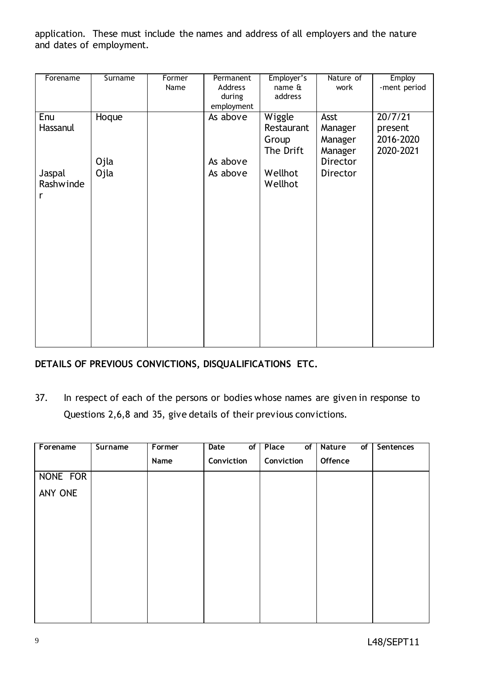application. These must include the names and address of all employers and the nature and dates of employment.

| Forename            | Surname | Former | Permanent  | Employer's                                 | Nature of                             | <b>Employ</b>                                |
|---------------------|---------|--------|------------|--------------------------------------------|---------------------------------------|----------------------------------------------|
|                     |         | Name   | Address    | name &                                     | work                                  | -ment period                                 |
|                     |         |        | during     | address                                    |                                       |                                              |
|                     |         |        | employment |                                            |                                       |                                              |
| Enu<br>Hassanul     | Hoque   |        | As above   | Wiggle<br>Restaurant<br>Group<br>The Drift | Asst<br>Manager<br>Manager<br>Manager | 20/7/21<br>present<br>2016-2020<br>2020-2021 |
|                     | Ojla    |        | As above   |                                            | Director                              |                                              |
| Jaspal<br>Rashwinde | Ojla    |        | As above   | Wellhot<br>Wellhot                         | Director                              |                                              |
| r                   |         |        |            |                                            |                                       |                                              |
|                     |         |        |            |                                            |                                       |                                              |
|                     |         |        |            |                                            |                                       |                                              |
|                     |         |        |            |                                            |                                       |                                              |
|                     |         |        |            |                                            |                                       |                                              |
|                     |         |        |            |                                            |                                       |                                              |
|                     |         |        |            |                                            |                                       |                                              |

## **DETAILS OF PREVIOUS CONVICTIONS, DISQUALIFICATIONS ETC.**

37. In respect of each of the persons or bodies whose names are given in response to Questions 2,6,8 and 35, give details of their previous convictions.

| Forename | <b>Surname</b> | Former | Date<br>of | Place<br>of | Nature<br>of | Sentences |
|----------|----------------|--------|------------|-------------|--------------|-----------|
|          |                | Name   | Conviction | Conviction  | Offence      |           |
| NONE FOR |                |        |            |             |              |           |
| ANY ONE  |                |        |            |             |              |           |
|          |                |        |            |             |              |           |
|          |                |        |            |             |              |           |
|          |                |        |            |             |              |           |
|          |                |        |            |             |              |           |
|          |                |        |            |             |              |           |
|          |                |        |            |             |              |           |
|          |                |        |            |             |              |           |
|          |                |        |            |             |              |           |